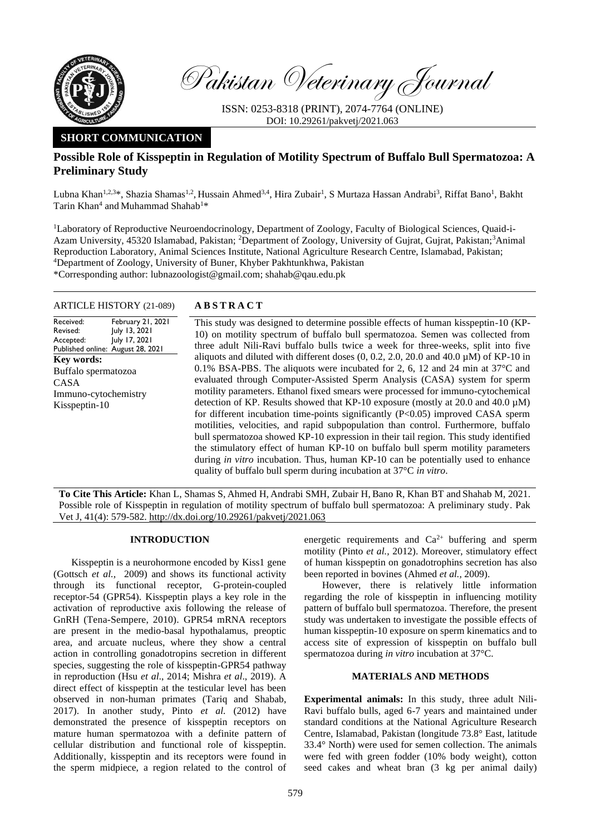

Pakistan Veterinary Journal

ISSN: 0253-8318 (PRINT), 2074-7764 (ONLINE) DOI: 10.29261/pakvetj/2021.063

# **SHORT COMMUNICATION**

# **Possible Role of Kisspeptin in Regulation of Motility Spectrum of Buffalo Bull Spermatozoa: A Preliminary Study**

Lubna Khan<sup>1,2,3</sup>\*, Shazia Shamas<sup>1,2</sup>, Hussain Ahmed<sup>3,4</sup>, Hira Zubair<sup>1</sup>, S Murtaza Hassan Andrabi<sup>3</sup>, Riffat Bano<sup>1</sup>, Bakht Tarin Khan<sup>4</sup> and Muhammad Shahab<sup>1\*</sup>

1Laboratory of Reproductive Neuroendocrinology, Department of Zoology, Faculty of Biological Sciences, Quaid-i-Azam University, 45320 Islamabad, Pakistan; <sup>2</sup>Department of Zoology, University of Gujrat, Gujrat, Pakistan;<sup>3</sup>Animal Reproduction Laboratory, Animal Sciences Institute, National Agriculture Research Centre, Islamabad, Pakistan; <sup>4</sup>Department of Zoology, University of Buner, Khyber Pakhtunkhwa, Pakistan \*Corresponding author: lubnazoologist@gmail.com; shahab@qau.edu.pk

# ARTICLE HISTORY (21-089) **A B S T R A C T**

Received: Revised: Accepted: Published online: August 28, 2021 February 21, 2021 July 13, 2021 July 17, 2021 **Key words:**  Buffalo spermatozoa CASA Immuno-cytochemistry Kisspeptin-10

This study was designed to determine possible effects of human kisspeptin-10 (KP-10) on motility spectrum of buffalo bull spermatozoa. Semen was collected from three adult Nili-Ravi buffalo bulls twice a week for three-weeks, split into five aliquots and diluted with different doses  $(0, 0.2, 2.0, 20.0, 0.04, 40.0, \mu M)$  of KP-10 in 0.1% BSA-PBS. The aliquots were incubated for 2, 6, 12 and 24 min at 37°C and evaluated through Computer-Assisted Sperm Analysis (CASA) system for sperm motility parameters. Ethanol fixed smears were processed for immuno-cytochemical detection of KP. Results showed that KP-10 exposure (mostly at 20.0 and 40.0  $\mu$ M) for different incubation time-points significantly (P<0.05) improved CASA sperm motilities, velocities, and rapid subpopulation than control. Furthermore, buffalo bull spermatozoa showed KP-10 expression in their tail region. This study identified the stimulatory effect of human KP-10 on buffalo bull sperm motility parameters during *in vitro* incubation. Thus, human KP-10 can be potentially used to enhance quality of buffalo bull sperm during incubation at 37°C *in vitro*.

**To Cite This Article:** Khan L, Shamas S, Ahmed H, Andrabi SMH, Zubair H, Bano R, Khan BT and Shahab M, 2021. Possible role of Kisspeptin in regulation of motility spectrum of buffalo bull spermatozoa: A preliminary study. Pak Vet J, 41(4): 579-582[. http://dx.doi.org/10.29261/pakvetj/2021.063](http://pvj.com.pk/pdf-files/41_4/579-582.pdf)

# **INTRODUCTION**

Kisspeptin is a neurohormone encoded by Kiss1 gene [\(Gottsch](#page-3-0) *et al.,* 2009) and shows its functional activity through its functional receptor, G-protein-coupled receptor-54 (GPR54). Kisspeptin plays a key role in the activation of reproductive axis following the release of GnRH (Tena-Sempere, 2010). GPR54 mRNA receptors are present in the medio-basal hypothalamus, preoptic area, and arcuate nucleus, where they show a central action in controlling gonadotropins secretion in different species, suggesting the role of kisspeptin-GPR54 pathway in reproduction (Hsu *et al*., 2014; Mishra *et al*., 2019). A direct effect of kisspeptin at the testicular level has been observed in non-human primates [\(Tariq and Shabab,](#page-3-1)  [2017\)](#page-3-1). In another study, Pinto *et al.* [\(2012\)](#page-3-2) have demonstrated the presence of kisspeptin receptors on mature human spermatozoa with a definite pattern of cellular distribution and functional role of kisspeptin. Additionally, kisspeptin and its receptors were found in the sperm midpiece, a region related to the control of

energetic requirements and  $Ca^{2+}$  buffering and sperm motility (Pinto *[et al.,](#page-3-2)* 2012). Moreover, stimulatory effect of human kisspeptin on gonadotrophins secretion has also been reported in bovines [\(Ahmed](#page-3-3) *et al.,* 2009).

However, there is relatively little information regarding the role of kisspeptin in influencing motility pattern of buffalo bull spermatozoa. Therefore, the present study was undertaken to investigate the possible effects of human kisspeptin-10 exposure on sperm kinematics and to access site of expression of kisspeptin on buffalo bull spermatozoa during *in vitro* incubation at 37°C.

# **MATERIALS AND METHODS**

**Experimental animals:** In this study, three adult Nili-Ravi buffalo bulls, aged 6-7 years and maintained under standard conditions at the National Agriculture Research Centre, Islamabad, Pakistan (longitude 73.8° East, latitude 33.4° North) were used for semen collection. The animals were fed with green fodder (10% body weight), cotton seed cakes and wheat bran (3 kg per animal daily)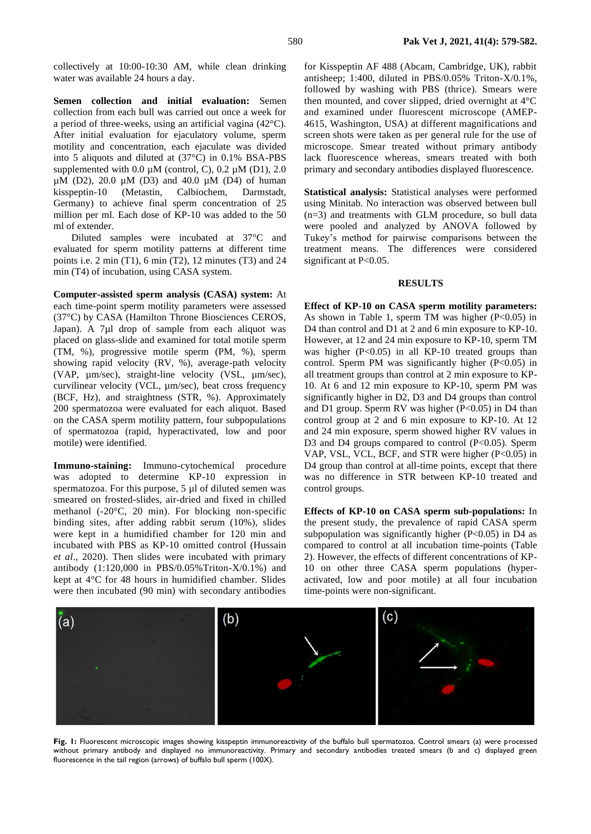collectively at 10:00-10:30 AM, while clean drinking water was available 24 hours a day.

**Semen collection and initial evaluation:** Semen collection from each bull was carried out once a week for a period of three-weeks, using an artificial vagina (42°C). After initial evaluation for ejaculatory volume, sperm motility and concentration, each ejaculate was divided into 5 aliquots and diluted at (37°C) in 0.1% BSA-PBS supplemented with  $0.0 \mu M$  (control, C),  $0.2 \mu M$  (D1),  $2.0 \mu M$ µM (D2), 20.0 µM (D3) and 40.0 µM (D4) of human kisspeptin-10 (Metastin, Calbiochem, Darmstadt, Germany) to achieve final sperm concentration of 25 million per ml. Each dose of KP-10 was added to the 50 ml of extender.

Diluted samples were incubated at 37°C and evaluated for sperm motility patterns at different time points i.e. 2 min (T1), 6 min (T2), 12 minutes (T3) and 24 min (T4) of incubation, using CASA system.

**Computer-assisted sperm analysis (CASA) system:** At each time-point sperm motility parameters were assessed (37°C) by CASA (Hamilton Throne Biosciences CEROS, Japan). A 7µl drop of sample from each aliquot was placed on glass-slide and examined for total motile sperm (TM, %), progressive motile sperm (PM, %), sperm showing rapid velocity (RV, %), average-path velocity (VAP, µm/sec), straight-line velocity (VSL, µm/sec), curvilinear velocity (VCL, µm/sec), beat cross frequency (BCF, Hz), and straightness (STR, %). Approximately 200 spermatozoa were evaluated for each aliquot. Based on the CASA sperm motility pattern, four subpopulations of spermatozoa (rapid, hyperactivated, low and poor motile) were identified.

**Immuno-staining:** Immuno-cytochemical procedure was adopted to determine KP-10 expression in spermatozoa. For this purpose, 5 µl of diluted semen was smeared on frosted-slides, air-dried and fixed in chilled methanol (-20°C, 20 min). For blocking non-specific binding sites, after adding rabbit serum (10%), slides were kept in a humidified chamber for 120 min and incubated with PBS as KP-10 omitted control (Hussain *et al*., 2020). Then slides were incubated with primary antibody (1:120,000 in PBS/0.05%Triton-X/0.1%) and kept at 4°C for 48 hours in humidified chamber. Slides were then incubated (90 min) with secondary antibodies

for Kisspeptin AF 488 (Abcam, Cambridge, UK), rabbit antisheep; 1:400, diluted in PBS/0.05% Triton-X/0.1%, followed by washing with PBS (thrice). Smears were then mounted, and cover slipped, dried overnight at 4°C and examined under fluorescent microscope (AMEP-4615, Washington, USA) at different magnifications and screen shots were taken as per general rule for the use of microscope. Smear treated without primary antibody lack fluorescence whereas, smears treated with both primary and secondary antibodies displayed fluorescence.

**Statistical analysis:** Statistical analyses were performed using Minitab. No interaction was observed between bull (n=3) and treatments with GLM procedure, so bull data were pooled and analyzed by ANOVA followed by Tukey's method for pairwise comparisons between the treatment means. The differences were considered significant at P<0.05.

#### **RESULTS**

**Effect of KP-10 on CASA sperm motility parameters:**  As shown in Table 1, sperm TM was higher (P<0.05) in D4 than control and D1 at 2 and 6 min exposure to KP-10. However, at 12 and 24 min exposure to KP-10, sperm TM was higher (P<0.05) in all KP-10 treated groups than control. Sperm PM was significantly higher (P<0.05) in all treatment groups than control at 2 min exposure to KP-10. At 6 and 12 min exposure to KP-10, sperm PM was significantly higher in D2, D3 and D4 groups than control and D1 group. Sperm RV was higher (P<0.05) in D4 than control group at 2 and 6 min exposure to KP-10. At 12 and 24 min exposure, sperm showed higher RV values in D3 and D4 groups compared to control (P<0.05). Sperm VAP, VSL, VCL, BCF, and STR were higher (P<0.05) in D4 group than control at all-time points, except that there was no difference in STR between KP-10 treated and control groups.

**Effects of KP-10 on CASA sperm sub-populations:** In the present study, the prevalence of rapid CASA sperm subpopulation was significantly higher  $(P<0.05)$  in D4 as compared to control at all incubation time-points (Table 2). However, the effects of different concentrations of KP-10 on other three CASA sperm populations (hyperactivated, low and poor motile) at all four incubation time-points were non-significant.



**Fig. 1:** Fluorescent microscopic images showing kisspeptin immunoreactivity of the buffalo bull spermatozoa. Control smears (a) were processed without primary antibody and displayed no immunoreactivity. Primary and secondary antibodies treated smears (b and c) displayed green fluorescence in the tail region (arrows) of buffalo bull sperm (100X).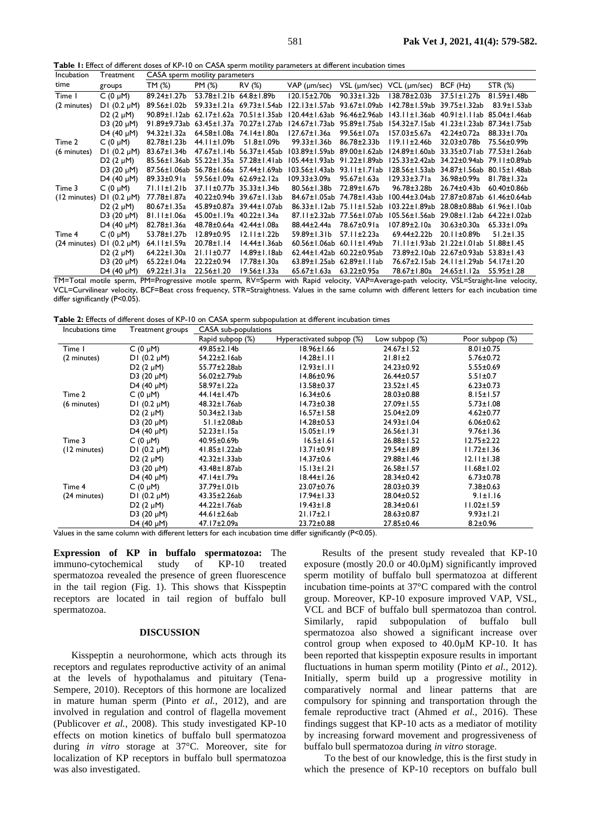**Table 1:** Effect of different doses of KP-10 on CASA sperm motility parameters at different incubation times

| Incubation   | Treatment          | CASA sperm motility parameters |                    |                     |                     |                     |                    |                     |                     |
|--------------|--------------------|--------------------------------|--------------------|---------------------|---------------------|---------------------|--------------------|---------------------|---------------------|
| time         | groups             | TM (%)                         | PM (%)             | RV (%)              | $VAP$ ( $µm/sec$ )  | VSL (µm/sec)        | $VCL$ ( $µm/sec$ ) | $BCF$ (Hz)          | STR (%)             |
| Time I       | C $(0 \mu M)$      | 89.24±1.27b                    | $53.78 \pm 1.21$   | $64.8 \pm 1.89$ b   | l 20.15±2.70b       | $90.33 \pm 1.32 b$  | 138.78±2.03b       | 37.51±1.27b         | 81.59±1.48b         |
| (2 minutes)  | $DI$ (0.2 $\mu$ M) | 89.56±1.02b                    | 59.33±1.21a        | $69.73 \pm 1.54$ ab | 122.13±1.57ab       | 93.67±1.09ab        | l 42.78± I .59ab   | 39.75±1.32ab        | 83.9±1.53ab         |
|              | D2 $(2 \mu M)$     | 90.89±1.12ab                   | $62.17 \pm 1.62a$  | 70.51±1.35ab        | 120.44±1.63ab       | 96.46±2.96ab        | 143.11±1.36ab      | $40.91 \pm 1.1$ lab | 85.04±1.46ab        |
|              | D3 (20 $\mu$ M)    | 91.89±9.73ab                   | $63.45 \pm 1.37$ a | 70.27±1.27ab        | 124.67±1.73ab       | 95.89±1.75ab        | l 54.32±7. I 5ab   | $41.23 \pm 1.23$ ab | 87.34±1.75ab        |
|              | D4 (40 $\mu$ M)    | 94.32±1.32a                    | $64.58 \pm 1.08$ a | 74.14±1.80a         | 127.67±1.36a        | 99.56±1.07a         | 157.03±5.67a       | 42.24±0.72a         | 88.33±1.70a         |
| Time 2       | C $(0 \mu M)$      | 82.78±1.23b                    | 44.11±1.09b        | $51.8 \pm 1.09$ b   | $99.33 \pm 1.36 b$  | 86.78±2.33b         | $119.11 \pm 2.46b$ | 32.03±0.78b         | 75.56±0.99b         |
| (6 minutes)  | $DI(0.2 \mu M)$    | 83.67±1.34b                    | $47.67 \pm 1.14$ b | 56.37±1.45ab        | 103.89±1.59ab       | 89.00±1.62ab        | 124.89±1.60ab      | 33.35±0.71ab        | 77.53±1.26ab        |
|              | $D2 (2 \mu M)$     | 85.56±1.36ab                   | 55.22±1.35a        | 57.28±1.41ab        | 105.44±1.93ab       | 91.22±1.89ab        | 125.33±2.42ab      | 34.22±0.94ab        | 79.11±0.89ab        |
|              | D3 (20 $\mu$ M)    | 87.56±1.06ab                   | 56.78±1.66a        | 57.44±1.69ab        | 103.56±1.43ab       | $93.11 \pm 1.71$ ab | 128.56±1.53ab      | 34.87±1.56ab        | 80.15±1.48ab        |
|              | D4 (40 $\mu$ M)    | 89.33±0.91a                    | 59.56±1.09a        | $62.69 \pm 2.12a$   | 109.33±3.09a        | 95.67±1.63a         | 129.33±3.71a       | 36.98±0.99a         | 81.78±1.32a         |
| Time 3       | $C(0 \mu M)$       | 71.11±1.21b                    | 37.11±0.77b        | $35.33 \pm 1.34$    | 80.56±1.38b         | 72.89±1.67b         | 96.78±3.28b        | 26.74±0.43b         | $60.40 \pm 0.86$    |
| (12 minutes) | DI $(0.2 \mu M)$   | 77.78±1.87a                    | 40.22±0.94b        | 39.67±1.13ab        | 84.67±1.05ab        | 74.78±1.43ab        | 100.44±3.04ab      | 27.87±0.87ab        | 61.46±0.64ab        |
|              | D2 $(2 \mu M)$     | $80.67 \pm 1.35a$              | 45.89±0.87a        | 39.44±1.07ab        | 86.33±1.12ab        | 75.11±1.52ab        | 103.22±1.89ab      | 28.08±0.88ab        | $61.96 \pm 1.10$ ab |
|              | $D3 (20 \mu M)$    | 81.11±1.06a                    | 45.00±1.19a        | 40.22±1.34a         | 87.11±2.32ab        | 77.56±1.07ab        | 105.56±1.56ab      | 29.08±1.12ab        | 64.22±1.02ab        |
|              | D4 (40 $\mu$ M)    | 82.78±1.36a                    | 48.78±0.64a        | 42.44±1.08a         | 88.44±2.44a         | 78.67±0.91a         | 107.89±2.10a       | 30.63±0.30a         | $65.33 \pm 1.09a$   |
| Time 4       | C $(0 \mu M)$      | 53.78±1.27b                    | $12.89 \pm 0.95$   | $12.11 \pm 1.22b$   | 59.89±1.31b         | 57.11±2.23a         | 69.44±2.22b        | 20.11±0.89b         | $51.2 \pm 1.35$     |
| (24 minutes) | DI $(0.2 \mu M)$   | $64.11 \pm 1.59a$              | $20.78 \pm 1.14$   | 14.44±1.36ab        | $60.56 \pm 1.06$ ab | $60.11 \pm 1.49$ ab | 71.11±1.93ab       | $21.22 \pm 1.01$ ab | $51.88 \pm 1.45$    |
|              | D2 $(2 \mu M)$     | 64.22±1.30a                    | $21.11 \pm 0.77$   | 14.89±1.18ab        | 62.44±1.42ab        | $60.22 \pm 0.95$ ab | 73.89±2.10ab       | 22.67±0.93ab        | $53.83 \pm 1.43$    |
|              | D3 (20 $\mu$ M)    | 65.22±1.04a                    | 22.22±0.94         | 17.78±1.30a         | $63.89 \pm 1.25$ ab | $62.89 \pm 1.1$ lab | 76.67±2.15ab       | $24.11 \pm 1.29$ ab | 54.17±1.20          |
|              | D4 (40 $\mu$ M)    | $69.22 \pm 1.31a$              | 22.56±1.20         | 19.56±1.33a         | 65.67±1.63a         | $63.22 \pm 0.95a$   | 78.67±1.80a        | 24.65±1.12a         | $55.95 \pm 1.28$    |

TM=Total motile sperm, PM=Progressive motile sperm, RV=Sperm with Rapid velocity, VAP=Average-path velocity, VSL=Straight-line velocity, VCL=Curvilinear velocity, BCF=Beat cross frequency, STR=Straightness. Values in the same column with different letters for each incubation time differ significantly (P<0.05).

**Table 2:** Effects of different doses of KP-10 on CASA sperm subpopulation at different incubation times

| Incubations time               | Treatment groups           | CASA sub-populations |                           |                   |                  |  |  |
|--------------------------------|----------------------------|----------------------|---------------------------|-------------------|------------------|--|--|
|                                |                            | Rapid subpop (%)     | Hyperactivated subpop (%) | Low subpop $(\%)$ | Poor subpop (%)  |  |  |
| Time 1                         | $C(0 \mu M)$               | 49.85±2.14b          | 18.96±1.66                | 24.67±1.52        | $8.01 \pm 0.75$  |  |  |
| $DI(0.2 \mu M)$<br>(2 minutes) |                            | 54.22±2.16ab         | $14.28 \pm 1.11$          | $21.81 \pm 2$     | $5.76 \pm 0.72$  |  |  |
|                                | D <sub>2</sub> $(2 \mu M)$ | 55.77±2.28ab         | $12.93 \pm 1.11$          | 24.23±0.92        | $5.55 \pm 0.69$  |  |  |
|                                | D3 (20 $\mu$ M)            | 56.02±2.79ab         | 14.86±0.96                | 26.44±0.57        | $5.51 \pm 0.7$   |  |  |
|                                | D4 (40 $\mu$ M)            | 58.97±1.22a          | 13.58±0.37                | $23.52 \pm 1.45$  | $6.23 \pm 0.73$  |  |  |
| Time 2                         | $C(0 \mu M)$               | 44.14±1.47b          | $16.34 \pm 0.6$           | 28.03±0.88        | $8.15 \pm 1.57$  |  |  |
| (6 minutes)                    | $DI(0.2 \mu M)$            | 48.32±1.76ab         | $14.73 \pm 0.38$          | 27.09±1.55        | $5.73 \pm 1.08$  |  |  |
|                                | D2 $(2 \mu M)$             | 50.34±2.13ab         | $16.57 \pm 1.58$          | 25.04±2.09        | $4.62 \pm 0.77$  |  |  |
|                                | D3 (20 $\mu$ M)            | 51.1±2.08ab          | $14.28 \pm 0.53$          | 24.93±1.04        | $6.06 \pm 0.62$  |  |  |
|                                | D4 (40 $\mu$ M)            | 52.23±1.15a          | $15.05 \pm 1.19$          | $26.56 \pm 1.31$  | $9.76 \pm 1.36$  |  |  |
| Time 3                         | C $(0 \mu M)$              | 40.95±0.69b          | $16.5 \pm 1.61$           | $26.88 \pm 1.52$  | 12.75±2.22       |  |  |
| (12 minutes)                   | $DI$ (0.2 $\mu$ M)         | 41.85±1.22ab         | $13.71 \pm 0.91$          | 29.54±1.89        | $11.72 \pm 1.36$ |  |  |
|                                | D2 $(2 \mu M)$             | $42.32 \pm 1.33$ ab  | $14.37 \pm 0.6$           | 29.88±1.46        | $12.11 \pm 1.38$ |  |  |
|                                | D3 (20 $\mu$ M)            | 43.48±1.87ab         | $15.13 \pm 1.21$          | 26.58±1.57        | II.68±1.02       |  |  |
|                                | D4 (40 $\mu$ M)            | 47.14±1.79a          | $18.44 \pm 1.26$          | 28.34±0.42        | $6.73 \pm 0.78$  |  |  |
| Time 4                         | $C(0 \mu M)$               | 37.79±1.01b          | 23.07±0.76                | 28.03±0.39        | $7.38 \pm 0.63$  |  |  |
| (24 minutes)                   | $DI(0.2 \mu M)$            | 43.35±2.26ab         | $17.94 \pm 1.33$          | 28.04±0.52        | $9.1 \pm 1.16$   |  |  |
|                                | D <sub>2</sub> $(2 \mu M)$ | 44.22±1.76ab         | $19.43 \pm 1.8$           | 28.34±0.61        | II.02±I.59       |  |  |
|                                | D3 (20 $\mu$ M)            | 44.61±2.6ab          | $21.17 \pm 2.1$           | $28.63 \pm 0.87$  | $9.93 \pm 1.21$  |  |  |
|                                | D4 (40 $\mu$ M)            | 47.17±2.09a          | 23.72±0.88                | 27.85±0.46        | $8.2 \pm 0.96$   |  |  |

Values in the same column with different letters for each incubation time differ significantly (P<0.05).

**Expression of KP in buffalo spermatozoa:** The immuno-cytochemical study of KP-10 treated spermatozoa revealed the presence of green fluorescence in the tail region (Fig. 1). This shows that Kisspeptin receptors are located in tail region of buffalo bull spermatozoa.

### **DISCUSSION**

Kisspeptin a neurohormone, which acts through its receptors and regulates reproductive activity of an animal at the levels of hypothalamus and pituitary [\(Tena-](#page-3-4)[Sempere, 2010\)](#page-3-4). Receptors of this hormone are localized in mature human sperm (Pinto *[et al.,](#page-3-2)* 2012), and are involved in regulation and control of flagella movement [\(Publicover](#page-3-5) *et al.,* 2008). This study investigated KP-10 effects on motion kinetics of buffalo bull spermatozoa during *in vitro* storage at 37°C. Moreover, site for localization of KP receptors in buffalo bull spermatozoa was also investigated.

Results of the present study revealed that KP-10 exposure (mostly 20.0 or 40.0µM) significantly improved sperm motility of buffalo bull spermatozoa at different incubation time-points at 37°C compared with the control group. Moreover, KP-10 exposure improved VAP, VSL, VCL and BCF of buffalo bull spermatozoa than control. Similarly, rapid subpopulation of buffalo bull spermatozoa also showed a significant increase over control group when exposed to 40.0µM KP-10. It has been reported that kisspeptin exposure results in important fluctuations in human sperm motility [\(Pinto](#page-3-2) *et al.,* 2012). Initially, sperm build up a progressive motility in comparatively normal and linear patterns that are compulsory for spinning and transportation through the female reproductive tract [\(Ahmed](#page-3-6) *et al.,* 2016). These findings suggest that KP-10 acts as a mediator of motility by increasing forward movement and progressiveness of buffalo bull spermatozoa during *in vitro* storage.

To the best of our knowledge, this is the first study in which the presence of KP-10 receptors on buffalo bull